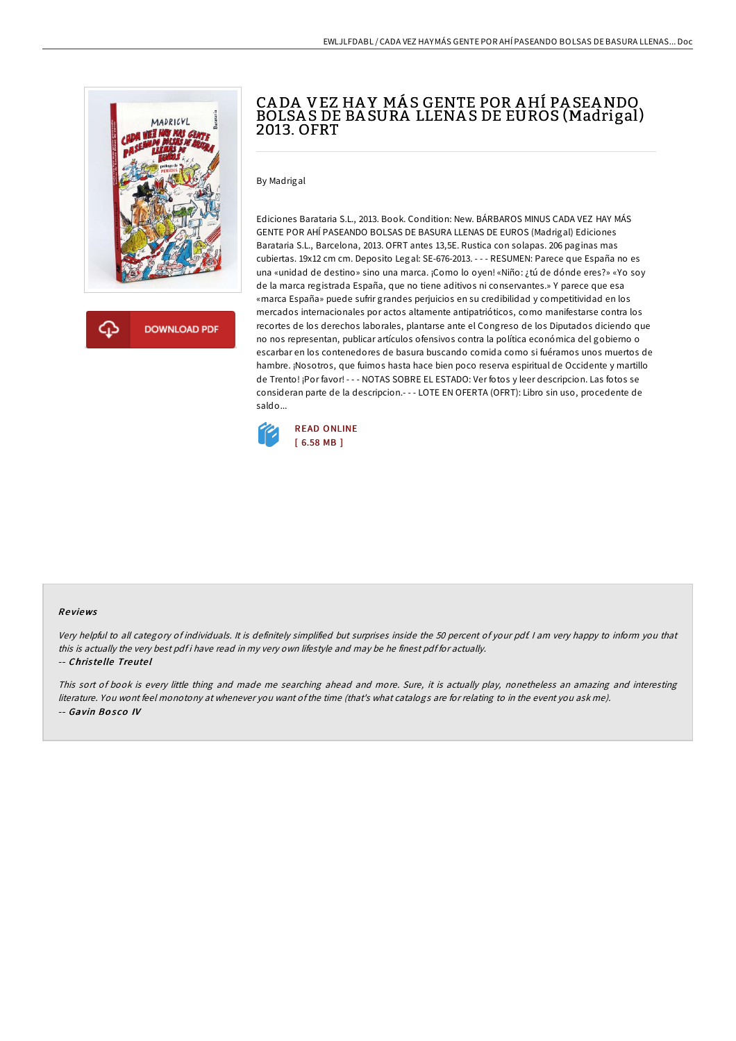

# CA DA VEZ HA Y MÁ S GENTE POR AHÍ PA SEANDO BOLSA S DE BA SURA LLENA S DE EUROS (Madrigal) 2013. OFRT

By Madrigal

Ediciones Barataria S.L., 2013. Book. Condition: New. BÁRBAROS MINUS CADA VEZ HAY MÁS GENTE POR AHÍ PASEANDO BOLSAS DE BASURA LLENAS DE EUROS (Madrigal) Ediciones Barataria S.L., Barcelona, 2013. OFRT antes 13,5E. Rustica con solapas. 206 paginas mas cubiertas. 19x12 cm cm. Deposito Legal: SE-676-2013. - - - RESUMEN: Parece que España no es una «unidad de destino» sino una marca. ¡Como lo oyen! «Niño: ¿tú de dónde eres?» «Yo soy de la marca registrada España, que no tiene aditivos ni conservantes.» Y parece que esa «marca España» puede sufrir grandes perjuicios en su credibilidad y competitividad en los mercados internacionales por actos altamente antipatrióticos, como manifestarse contra los recortes de los derechos laborales, plantarse ante el Congreso de los Diputados diciendo que no nos representan, publicar artículos ofensivos contra la política económica del gobierno o escarbar en los contenedores de basura buscando comida como si fuéramos unos muertos de hambre. ¡Nosotros, que fuimos hasta hace bien poco reserva espiritual de Occidente y martillo de Trento! ¡Por favor! - - - NOTAS SOBRE EL ESTADO: Ver fotos y leer descripcion. Las fotos se consideran parte de la descripcion.- - - LOTE EN OFERTA (OFRT): Libro sin uso, procedente de saldo...



### Re views

Very helpful to all category of individuals. It is definitely simplified but surprises inside the 50 percent of your pdf. <sup>I</sup> am very happy to inform you that this is actually the very best pdf i have read in my very own lifestyle and may be he finest pdf for actually.

#### -- Chris te lle Treute l

This sort of book is every little thing and made me searching ahead and more. Sure, it is actually play, nonetheless an amazing and interesting literature. You wont feel monotony at whenever you want ofthe time (that's what catalogs are for relating to in the event you ask me). -- Gavin Bosco IV